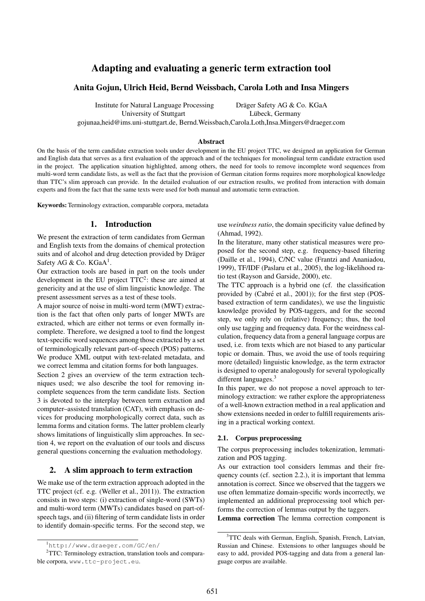# Adapting and evaluating a generic term extraction tool

### Anita Gojun, Ulrich Heid, Bernd Weissbach, Carola Loth and Insa Mingers

Institute for Natural Language Processing Dräger Safety AG & Co. KGaA

University of Stuttgart in Lübeck, Germany

gojunaa,heid@ims.uni-stuttgart.de, Bernd.Weissbach,Carola.Loth,Insa.Mingers@draeger.com

#### Abstract

On the basis of the term candidate extraction tools under development in the EU project TTC, we designed an application for German and English data that serves as a first evaluation of the approach and of the techniques for monolingual term candidate extraction used in the project. The application situation highlighted, among others, the need for tools to remove incomplete word sequences from multi-word term candidate lists, as well as the fact that the provision of German citation forms requires more morphological knowledge than TTC's slim approach can provide. In the detailed evaluation of our extraction results, we profited from interaction with domain experts and from the fact that the same texts were used for both manual and automatic term extraction.

Keywords: Terminology extraction, comparable corpora, metadata

### 1. Introduction

We present the extraction of term candidates from German and English texts from the domains of chemical protection suits and of alcohol and drug detection provided by Dräger Safety AG & Co. KGaA<sup>1</sup>.

Our extraction tools are based in part on the tools under development in the EU project TTC<sup>2</sup>: these are aimed at genericity and at the use of slim linguistic knowledge. The present assessment serves as a test of these tools.

A major source of noise in multi-word term (MWT) extraction is the fact that often only parts of longer MWTs are extracted, which are either not terms or even formally incomplete. Therefore, we designed a tool to find the longest text-specific word sequences among those extracted by a set of terminologically relevant part-of-speech (POS) patterns. We produce XML output with text-related metadata, and we correct lemma and citation forms for both languages.

Section 2 gives an overview of the term extraction techniques used; we also describe the tool for removing incomplete sequences from the term candidate lists. Section 3 is devoted to the interplay between term extraction and computer–assisted translation (CAT), with emphasis on devices for producing morphologically correct data, such as lemma forms and citation forms. The latter problem clearly shows limitations of linguistically slim approaches. In section 4, we report on the evaluation of our tools and discuss general questions concerning the evaluation methodology.

### 2. A slim approach to term extraction

We make use of the term extraction approach adopted in the TTC project (cf. e.g. (Weller et al., 2011)). The extraction consists in two steps: (i) extraction of single-word (SWTs) and multi-word term (MWTs) candidates based on part-ofspeech tags, and (ii) filtering of term candidate lists in order to identify domain-specific terms. For the second step, we use *weirdness ratio*, the domain specificity value defined by (Ahmad, 1992).

In the literature, many other statistical measures were proposed for the second step, e.g. frequency-based filtering (Daille et al., 1994), C/NC value (Frantzi and Ananiadou, 1999), TF/IDF (Paslaru et al., 2005), the log-likelihood ratio test (Rayson and Garside, 2000), etc.

The TTC approach is a hybrid one (cf. the classification provided by (Cabré et al., 2001)); for the first step (POSbased extraction of term candidates), we use the linguistic knowledge provided by POS-taggers, and for the second step, we only rely on (relative) frequency; thus, the tool only use tagging and frequency data. For the weirdness calculation, frequency data from a general language corpus are used, i.e. from texts which are not biased to any particular topic or domain. Thus, we avoid the use of tools requiring more (detailed) linguistic knowledge, as the term extractor is designed to operate analogously for several typologically different languages.<sup>3</sup>

In this paper, we do not propose a novel approach to terminology extraction: we rather explore the appropriateness of a well-known extraction method in a real application and show extensions needed in order to fulfill requirements arising in a practical working context.

### 2.1. Corpus preprocessing

The corpus preprocessing includes tokenization, lemmatization and POS tagging.

As our extraction tool considers lemmas and their frequency counts (cf. section 2.2.), it is important that lemma annotation is correct. Since we observed that the taggers we use often lemmatize domain-specific words incorrectly, we implemented an additional preprocessing tool which performs the correction of lemmas output by the taggers.

Lemma correction The lemma correction component is

<sup>1</sup>http://www.draeger.com/GC/en/

<sup>&</sup>lt;sup>2</sup>TTC: Terminology extraction, translation tools and comparable corpora, www.ttc-project.eu.

<sup>&</sup>lt;sup>3</sup>TTC deals with German, English, Spanish, French, Latvian, Russian and Chinese. Extensions to other languages should be easy to add, provided POS-tagging and data from a general language corpus are available.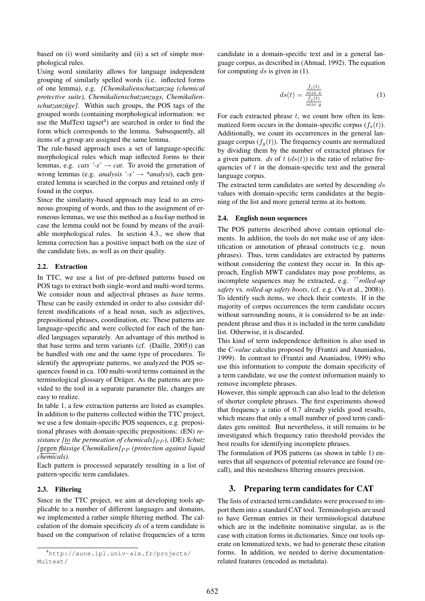based on (i) word similarity and (ii) a set of simple morphological rules.

Using word similarity allows for language independent grouping of similarly spelled words (i.e. inflected forms of one lemma), e.g. *[Chemikalienschutzanzug (chemical protective suite), Chemikalienschutzanzugs, Chemikalienschutzanzüge]*. Within such groups, the POS tags of the grouped words (containing morphological information: we use the MulText tagset<sup>4</sup>) are searched in order to find the form which corresponds to the lemma. Subsequently, all items of a group are assigned the same lemma.

The rule-based approach uses a set of language-specific morphological rules which map inflected forms to their lemmas, e.g. *cats '-s'*  $\rightarrow$  *cat*. To avoid the generation of wrong lemmas (e.g. *analysis '-s'* → *\*analysi*), each generated lemma is searched in the corpus and retained only if found in the corpus.

Since the similarity-based approach may lead to an erroneous grouping of words, and thus to the assignment of erroneous lemmas, we use this method as a *backup* method in case the lemma could not be found by means of the available morphological rules. In section 4.3., we show that lemma correction has a positive impact both on the size of the candidate lists, as well as on their quality.

### 2.2. Extraction

In TTC, we use a list of pre-defined patterns based on POS tags to extract both single-word and multi-word terms. We consider noun and adjectival phrases as *base* terms. These can be easily extended in order to also consider different modifications of a head noun, such as adjectives, prepositional phrases, coordination, etc. These patterns are language-specific and were collected for each of the handled languages separately. An advantage of this method is that base terms and term variants (cf. (Daille, 2005)) can be handled with one and the same type of procedures. To identify the appropriate patterns, we analyzed the POS sequences found in ca. 100 multi-word terms contained in the terminological glossary of Dräger. As the patterns are provided to the tool in a separate parameter file, changes are easy to realize.

In table 1, a few extraction patterns are listed as examples. In addition to the patterns collected within the TTC project, we use a few domain-specific POS sequences, e.g. prepositional phrases with domain-specific prepositions: (EN) *resistance* [to the permeation of chemicals] $_{PP}$ , (DE) Schutz *[*gegen *flussige Chemikalien] ¨* P P *(protection against liquid chemicals)*.

Each pattern is processed separately resulting in a list of pattern-specific term candidates.

### 2.3. Filtering

Since in the TTC project, we aim at developing tools applicable to a number of different languages and domains, we implemented a rather simple filtering method. The calculation of the domain specificity *ds* of a term candidate is based on the comparison of relative frequencies of a term

candidate in a domain-specific text and in a general language corpus, as described in (Ahmad, 1992). The equation for computing ds is given in  $(1)$ .

$$
ds(t) = \frac{\frac{f_s(t)}{size \, s}}{\frac{f_g(t)}{size \, g}}
$$
 (1)

For each extracted phrase  $t$ , we count how often its lemmatized form occurs in the domain-specific corpus  $(f_s(t))$ . Additionally, we count its occurrences in the general language corpus  $(f_a(t))$ . The frequency counts are normalized by dividing them by the number of extracted phrases for a given pattern. *ds* of  $t$  ( $ds(t)$ ) is the ratio of relative frequencies of  $t$  in the domain-specific text and the general language corpus.

The extracted term candidates are sorted by descending ds values with domain-specific term candidates at the beginning of the list and more general terms at its bottom.

### 2.4. English noun sequences

The POS patterns described above contain optional elements. In addition, the tools do not make use of any identification or annotation of phrasal constructs (e.g. noun phrases). Thus, term candidates are extracted by patterns without considering the context they occur in. In this approach, English MWT candidates may pose problems, as incomplete sequences may be extracted, e.g. ??*rolled-up safety* vs. *rolled-up safety boots*, (cf. e.g. (Vu et al., 2008)). To identify such items, we check their contexts. If in the majority of corpus occurrences the term candidate occurs without surrounding nouns, it is considered to be an independent phrase and thus it is included in the term candidate list. Otherwise, it is discarded.

This kind of term independence definition is also used in the *C-value* calculus proposed by (Frantzi and Ananiadou, 1999). In contrast to (Frantzi and Ananiadou, 1999) who use this information to compute the domain specificity of a term candidate, we use the context information mainly to remove incomplete phrases.

However, this simple approach can also lead to the deletion of shorter complete phrases. The first experiments showed that frequency a ratio of 0.7 already yields good results, which means that only a small number of good term candidates gets omitted. But nevertheless, it still remains to be investigated which frequency ratio threshold provides the best results for identifying incomplete phrases.

The formulation of POS patterns (as shown in table 1) ensures that all sequences of potential relevance are found (recall), and this nestedness filtering ensures precision.

### 3. Preparing term candidates for CAT

The lists of extracted term candidates were processed to import them into a standard CAT tool. Terminologists are used to have German entries in their terminological database which are in the indefinite nominative singular, as is the case with citation forms in dictionaries. Since our tools operate on lemmatized texts, we had to generate these citation forms. In addition, we needed to derive documentationrelated features (encoded as metadata).

<sup>4</sup>http://aune.lpl.univ-aix.fr/projects/ Multext/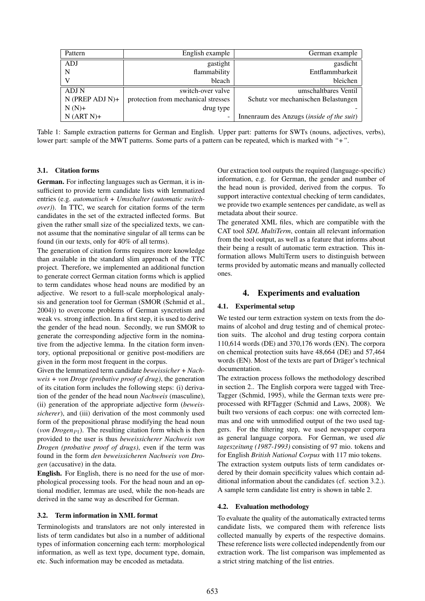| Pattern              | English example                     | German example                                   |
|----------------------|-------------------------------------|--------------------------------------------------|
| <b>ADJ</b>           | gastight                            | gasdicht                                         |
| N                    | flammability                        | Entflammbarkeit                                  |
|                      | bleach                              | bleichen                                         |
| ADJ N                | switch-over valve                   | umschaltbares Ventil                             |
| $N$ (PREP ADJ $N$ )+ | protection from mechanical stresses | Schutz vor mechanischen Belastungen              |
| $N(N)+$              | drug type                           |                                                  |
| $N (ART N) +$        |                                     | Innenraum des Anzugs <i>(inside of the suit)</i> |

Table 1: Sample extraction patterns for German and English. Upper part: patterns for SWTs (nouns, adjectives, verbs), lower part: sample of the MWT patterns. Some parts of a pattern can be repeated, which is marked with *"+"*.

### 3.1. Citation forms

German. For inflecting languages such as German, it is insufficient to provide term candidate lists with lemmatized entries (e.g. *automatisch + Umschalter (automatic switchover)*). In TTC, we search for citation forms of the term candidates in the set of the extracted inflected forms. But given the rather small size of the specialized texts, we cannot assume that the nominative singular of all terms can be found (in our texts, only for 40% of all terms).

The generation of citation forms requires more knowledge than available in the standard slim approach of the TTC project. Therefore, we implemented an additional function to generate correct German citation forms which is applied to term candidates whose head nouns are modified by an adjective. We resort to a full-scale morphological analysis and generation tool for German (SMOR (Schmid et al., 2004)) to overcome problems of German syncretism and weak vs. strong inflection. In a first step, it is used to derive the gender of the head noun. Secondly, we run SMOR to generate the corresponding adjective form in the nominative from the adjective lemma. In the citation form inventory, optional prepositional or genitive post-modifiers are given in the form most frequent in the corpus.

Given the lemmatized term candidate *beweissicher + Nachweis + von Droge (probative proof of drug)*, the generation of its citation form includes the following steps: (i) derivation of the gender of the head noun *Nachweis* (masculine), (ii) generation of the appropriate adjective form (*beweissicherer*), and (iii) derivation of the most commonly used form of the prepositional phrase modifying the head noun (*von Drogen* $_{Pl}$ ). The resulting citation form which is then provided to the user is thus *beweissicherer Nachweis von Drogen (probative proof of drugs)*, even if the term was found in the form *den beweissicheren Nachweis von Drogen* (accusative) in the data.

English. For English, there is no need for the use of morphological processing tools. For the head noun and an optional modifier, lemmas are used, while the non-heads are derived in the same way as described for German.

#### 3.2. Term information in XML format

Terminologists and translators are not only interested in lists of term candidates but also in a number of additional types of information concerning each term: morphological information, as well as text type, document type, domain, etc. Such information may be encoded as metadata.

Our extraction tool outputs the required (language-specific) information, e.g. for German, the gender and number of the head noun is provided, derived from the corpus. To support interactive contextual checking of term candidates, we provide two example sentences per candidate, as well as metadata about their source.

The generated XML files, which are compatible with the CAT tool *SDL MultiTerm*, contain all relevant information from the tool output, as well as a feature that informs about their being a result of automatic term extraction. This information allows MultiTerm users to distinguish between terms provided by automatic means and manually collected ones.

### 4. Experiments and evaluation

#### 4.1. Experimental setup

We tested our term extraction system on texts from the domains of alcohol and drug testing and of chemical protection suits. The alcohol and drug testing corpora contain 110,614 words (DE) and 370,176 words (EN). The corpora on chemical protection suits have 48,664 (DE) and 57,464 words (EN). Most of the texts are part of Dräger's technical documentation.

The extraction process follows the methodology described in section 2.. The English corpora were tagged with Tree-Tagger (Schmid, 1995), while the German texts were preprocessed with RFTagger (Schmid and Laws, 2008). We built two versions of each corpus: one with corrected lemmas and one with unmodified output of the two used taggers. For the filtering step, we used newspaper corpora as general language corpora. For German, we used *die tageszeitung (1987-1993)* consisting of 97 mio. tokens and for English *British National Corpus* with 117 mio tokens. The extraction system outputs lists of term candidates ordered by their domain specificity values which contain additional information about the candidates (cf. section 3.2.). A sample term candidate list entry is shown in table 2.

#### 4.2. Evaluation methodology

To evaluate the quality of the automatically extracted terms candidate lists, we compared them with reference lists collected manually by experts of the respective domains. These reference lists were collected independently from our extraction work. The list comparison was implemented as a strict string matching of the list entries.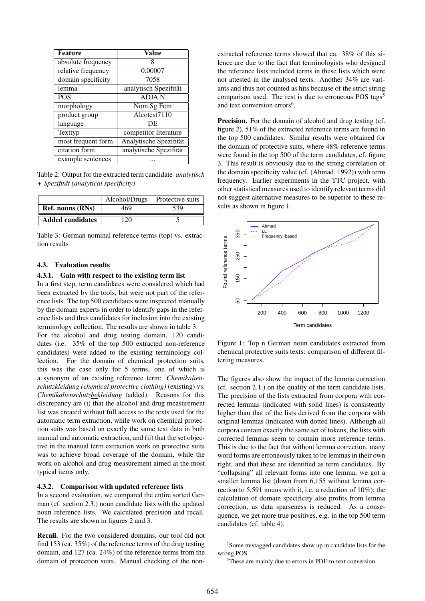| <b>Feature</b>     | Value                  |  |  |
|--------------------|------------------------|--|--|
| absolute frequency | 8                      |  |  |
| relative frequency | 0.00007                |  |  |
| domain specificity | 7058                   |  |  |
| lemma              | analytisch Spezifität  |  |  |
| <b>POS</b>         | <b>ADJAN</b>           |  |  |
| morphology         | Nom.Sg.Fem             |  |  |
| product group      | Alcotest7110           |  |  |
| language           | DE                     |  |  |
| Texttyp            | competitor literature  |  |  |
| most frequent form | Analytische Spezifität |  |  |
| citation form      | analytische Spezifität |  |  |
| example sentences  |                        |  |  |

Table 2: Output for the extracted term candidate *analytisch + Spezifitat (analytical specificity) ¨*

|                         | Alcohol/Drugs | Protective suits |  |
|-------------------------|---------------|------------------|--|
| Ref. nouns (RNs)        | 469           | 539              |  |
| <b>Added candidates</b> | 20            |                  |  |

Table 3: German nominal reference terms (top) vs. extraction results

#### 4.3. Evaluation results

### 4.3.1. Gain with respect to the existing term list

In a first step, term candidates were considered which had been extracted by the tools, but were not part of the reference lists. The top 500 candidates were inspected manually by the domain experts in order to identify gaps in the reference lists and thus candidates for inclusion into the existing terminology collection. The results are shown in table 3.

For the alcohol and drug testing domain, 120 candidates (i.e. 35% of the top 500 extracted non-reference candidates) were added to the existing terminology collection. For the domain of chemical protection suits, this was the case only for 5 terms, one of which is a synonym of an existing reference term: *Chemikalienschutzkleidung (chemical protective clothing)* (existing) vs. *Chemikalienschutzbekleidung* (added). Reasons for this discrepancy are (i) that the alcohol and drug measurement list was created without full access to the texts used for the automatic term extraction, while work on chemical protection suits was based on exactly the same text data in both manual and automatic extraction, and (ii) that the set objective in the manual term extraction work on protective suits was to achieve broad coverage of the domain, while the work on alcohol and drug measurement aimed at the most typical items only.

### 4.3.2. Comparison with updated reference lists

In a second evaluation, we compared the entire sorted German (cf. section 2.3.) noun candidate lists with the updated noun reference lists. We calculated precision and recall. The results are shown in figures 2 and 3.

Recall. For the two considered domains, our tool did not find 153 (ca. 35%) of the reference terms of the drug testing domain, and 127 (ca. 24%) of the reference terms from the domain of protection suits. Manual checking of the nonextracted reference terms showed that ca. 38% of this silence are due to the fact that terminologists who designed the reference lists included terms in these lists which were not attested in the analysed texts. Another 34% are variants and thus not counted as hits because of the strict string comparison used. The rest is due to erroneous POS tags<sup>5</sup> and text conversion errors<sup>6</sup>.

Precision. For the domain of alcohol and drug testing (cf. figure 2), 51% of the extracted reference terms are found in the top 500 candidates. Similar results were obtained for the domain of protective suits, where 48% reference terms were found in the top 500 of the term candidates, cf. figure 3. This result is obviously due to the strong correlation of the domain specificity value (cf. (Ahmad, 1992)) with term frequency. Earlier experiments in the TTC project, with other statistical measures used to identify relevant terms did not suggest alternative measures to be superior to these results as shown in figure 1.



Figure 1: Top n German noun candidates extracted from chemical protective suits texts: comparison of different filtering measures.

The figures also show the impact of the lemma correction (cf. section 2.1.) on the quality of the term candidate lists. The precision of the lists extracted from corpora with corrected lemmas (indicated with solid lines) is consistently higher than that of the lists derived from the corpora with original lemmas (indicated with dotted lines). Although all corpora contain exactly the same set of tokens, the lists with corrected lemmas seem to contain more reference terms. This is due to the fact that without lemma correction, many word forms are erroneously taken to be lemmas in their own right, and that these are identified as term candidates. By "collapsing" all relevant forms into one lemma, we got a smaller lemma list (down from 6,155 without lemma correction to 5,591 nouns with it, i.e. a reduction of 10%); the calculation of domain specificity also profits from lemma correction, as data sparseness is reduced. As a consequence, we get more true positives, e.g. in the top 500 term candidates (cf. table 4).

<sup>&</sup>lt;sup>5</sup>Some mistagged candidates show up in candidate lists for the wrong POS.

<sup>6</sup>These are mainly due to errors in PDF-to-text conversion.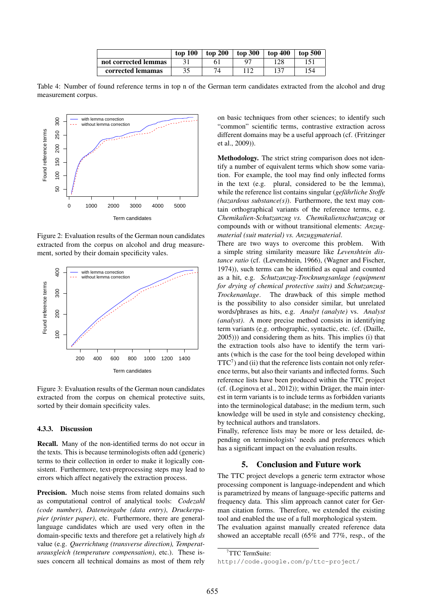|                      | top 100 | top 200 | top 300 | top 400 | top 500 |
|----------------------|---------|---------|---------|---------|---------|
| not corrected lemmas |         |         |         |         |         |
| corrected lemamas    | າ ເ     |         |         | 137     | 154     |

Table 4: Number of found reference terms in top n of the German term candidates extracted from the alcohol and drug measurement corpus.



Figure 2: Evaluation results of the German noun candidates extracted from the corpus on alcohol and drug measurement, sorted by their domain specificity vales.



Figure 3: Evaluation results of the German noun candidates extracted from the corpus on chemical protective suits, sorted by their domain specificity vales.

#### 4.3.3. Discussion

Recall. Many of the non-identified terms do not occur in the texts. This is because terminologists often add (generic) terms to their collection in order to make it logically consistent. Furthermore, text-preprocessing steps may lead to errors which affect negatively the extraction process.

Precision. Much noise stems from related domains such as computational control of analytical tools: *Codezahl (code number)*, *Dateneingabe (data entry)*, *Druckerpapier (printer paper)*, etc. Furthermore, there are generallanguage candidates which are used very often in the domain-specific texts and therefore get a relatively high *ds* value (e.g. *Querrichtung (transverse direction), Temperaturausgleich (temperature compensation)*, etc.). These issues concern all technical domains as most of them rely

on basic techniques from other sciences; to identify such "common" scientific terms, contrastive extraction across different domains may be a useful approach (cf. (Fritzinger et al., 2009)).

Methodology. The strict string comparison does not identify a number of equivalent terms which show some variation. For example, the tool may find only inflected forms in the text (e.g. plural, considered to be the lemma), while the reference list contains singular (*gefährliche Stoffe (hazardous substance(s)*). Furthermore, the text may contain orthographical variants of the reference terms, e.g. *Chemikalien-Schutzanzug vs. Chemikalienschutzanzug* or compounds with or without transitional elements: *Anzugmaterial (suit material) vs. Anzugsmaterial*.

There are two ways to overcome this problem. With a simple string similarity measure like *Levenshtein distance ratio* (cf. (Levenshtein, 1966), (Wagner and Fischer, 1974)), such terms can be identified as equal and counted as a hit, e.g. *Schutzanzug-Trocknungsanlage (equipment for drying of chemical protective suits)* and *Schutzanzug-Trockenanlage*. The drawback of this simple method is the possibility to also consider similar, but unrelated words/phrases as hits, e.g. *Analyt (analyte)* vs. *Analyst (analyst)*. A more precise method consists in identifying term variants (e.g. orthographic, syntactic, etc. (cf. (Daille, 2005))) and considering them as hits. This implies (i) that the extraction tools also have to identify the term variants (which is the case for the tool being developed within  $TTC<sup>7</sup>$ ) and (ii) that the reference lists contain not only reference terms, but also their variants and inflected forms. Such reference lists have been produced within the TTC project (cf. (Loginova et al., 2012)); within Dräger, the main interest in term variants is to include terms as forbidden variants into the terminological database; in the medium term, such knowledge will be used in style and consistency checking, by technical authors and translators.

Finally, reference lists may be more or less detailed, depending on terminologists' needs and preferences which has a significant impact on the evaluation results.

### 5. Conclusion and Future work

The TTC project develops a generic term extractor whose processing component is language-independent and which is parametrized by means of language-specific patterns and frequency data. This slim approach cannot cater for German citation forms. Therefore, we extended the existing tool and enabled the use of a full morphological system. The evaluation against manually created reference data showed an acceptable recall (65% and 77%, resp., of the

<sup>7</sup>TTC TermSuite:

http://code.google.com/p/ttc-project/